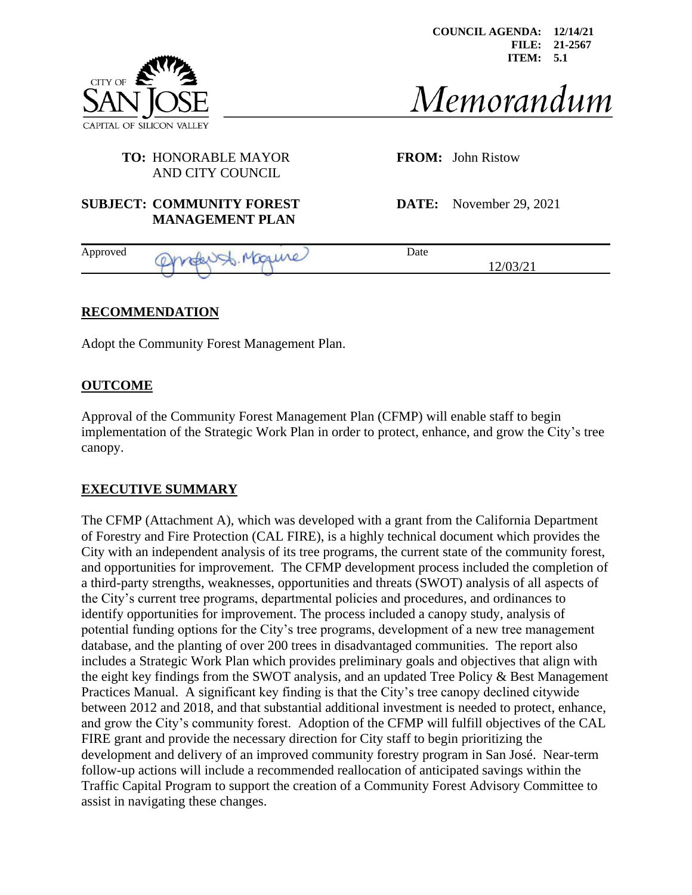



Memorandum

12/03/21

#### **TO:** HONORABLE MAYOR **FROM:** John Ristow AND CITY COUNCIL

## **SUBJECT: COMMUNITY FOREST DATE:** November 29, 2021 **MANAGEMENT PLAN**

Approved Oprofers, Magune

# **RECOMMENDATION**

Adopt the Community Forest Management Plan.

## **OUTCOME**

Approval of the Community Forest Management Plan (CFMP) will enable staff to begin implementation of the Strategic Work Plan in order to protect, enhance, and grow the City's tree canopy.

## **EXECUTIVE SUMMARY**

The CFMP (Attachment A), which was developed with a grant from the California Department of Forestry and Fire Protection (CAL FIRE), is a highly technical document which provides the City with an independent analysis of its tree programs, the current state of the community forest, and opportunities for improvement. The CFMP development process included the completion of a third-party strengths, weaknesses, opportunities and threats (SWOT) analysis of all aspects of the City's current tree programs, departmental policies and procedures, and ordinances to identify opportunities for improvement. The process included a canopy study, analysis of potential funding options for the City's tree programs, development of a new tree management database, and the planting of over 200 trees in disadvantaged communities. The report also includes a Strategic Work Plan which provides preliminary goals and objectives that align with the eight key findings from the SWOT analysis, and an updated Tree Policy & Best Management Practices Manual. A significant key finding is that the City's tree canopy declined citywide between 2012 and 2018, and that substantial additional investment is needed to protect, enhance, and grow the City's community forest. Adoption of the CFMP will fulfill objectives of the CAL FIRE grant and provide the necessary direction for City staff to begin prioritizing the development and delivery of an improved community forestry program in San José. Near-term follow-up actions will include a recommended reallocation of anticipated savings within the Traffic Capital Program to support the creation of a Community Forest Advisory Committee to assist in navigating these changes.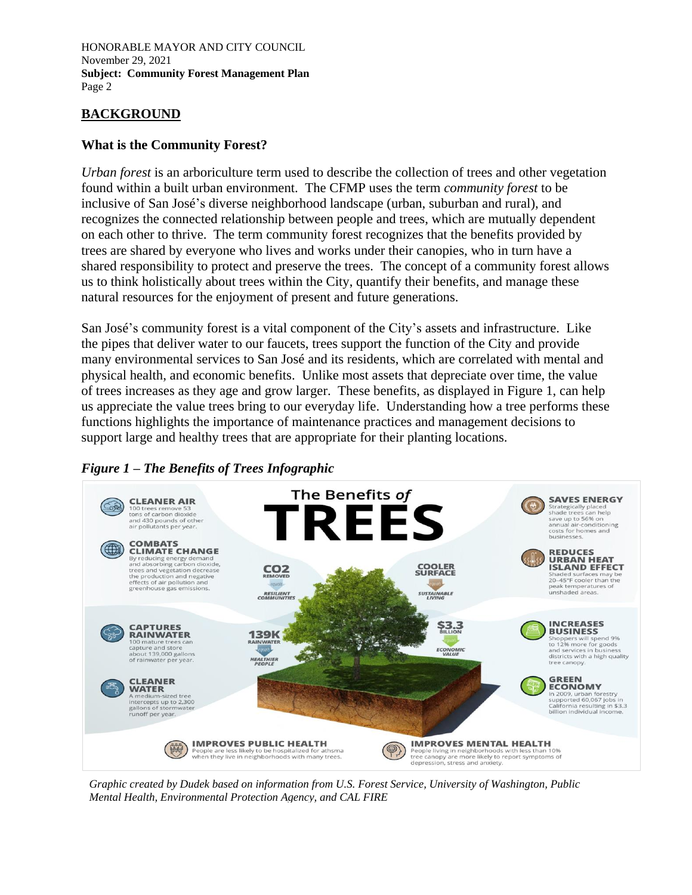## **BACKGROUND**

#### **What is the Community Forest?**

*Urban forest* is an arboriculture term used to describe the collection of trees and other vegetation found within a built urban environment. The CFMP uses the term *community forest* to be inclusive of San José's diverse neighborhood landscape (urban, suburban and rural), and recognizes the connected relationship between people and trees, which are mutually dependent on each other to thrive. The term community forest recognizes that the benefits provided by trees are shared by everyone who lives and works under their canopies, who in turn have a shared responsibility to protect and preserve the trees. The concept of a community forest allows us to think holistically about trees within the City, quantify their benefits, and manage these natural resources for the enjoyment of present and future generations.

San José's community forest is a vital component of the City's assets and infrastructure. Like the pipes that deliver water to our faucets, trees support the function of the City and provide many environmental services to San José and its residents, which are correlated with mental and physical health, and economic benefits. Unlike most assets that depreciate over time, the value of trees increases as they age and grow larger. These benefits, as displayed in Figure 1, can help us appreciate the value trees bring to our everyday life. Understanding how a tree performs these functions highlights the importance of maintenance practices and management decisions to support large and healthy trees that are appropriate for their planting locations.





*Graphic created by Dudek based on information from U.S. Forest Service, University of Washington, Public Mental Health, Environmental Protection Agency, and CAL FIRE*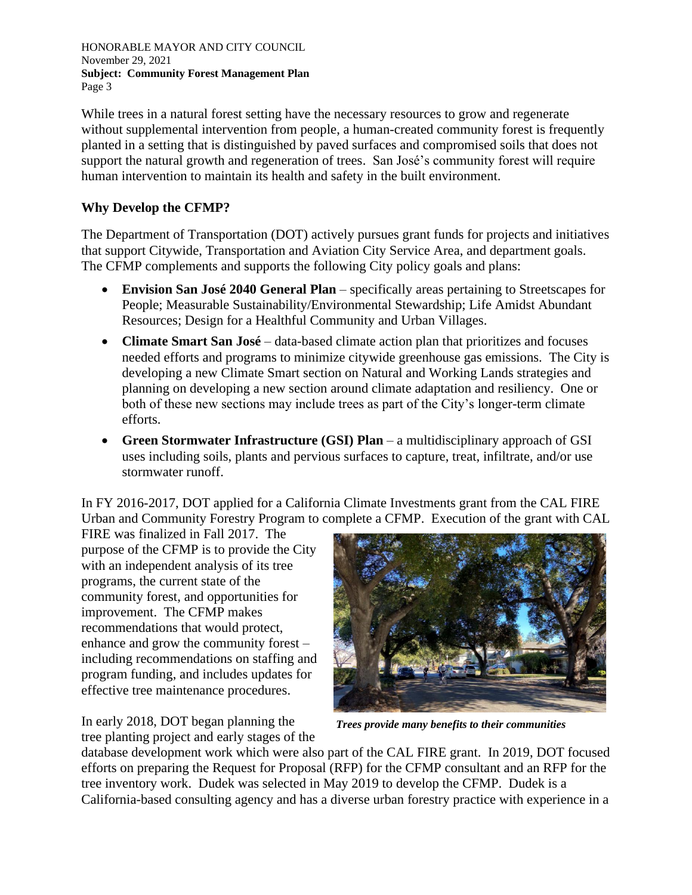While trees in a natural forest setting have the necessary resources to grow and regenerate without supplemental intervention from people, a human-created community forest is frequently planted in a setting that is distinguished by paved surfaces and compromised soils that does not support the natural growth and regeneration of trees. San José's community forest will require human intervention to maintain its health and safety in the built environment.

## **Why Develop the CFMP?**

The Department of Transportation (DOT) actively pursues grant funds for projects and initiatives that support Citywide, Transportation and Aviation City Service Area, and department goals. The CFMP complements and supports the following City policy goals and plans:

- **Envision San José 2040 General Plan** specifically areas pertaining to Streetscapes for People; Measurable Sustainability/Environmental Stewardship; Life Amidst Abundant Resources; Design for a Healthful Community and Urban Villages.
- **Climate Smart San José** data-based climate action plan that prioritizes and focuses needed efforts and programs to minimize citywide greenhouse gas emissions. The City is developing a new Climate Smart section on Natural and Working Lands strategies and planning on developing a new section around climate adaptation and resiliency. One or both of these new sections may include trees as part of the City's longer-term climate efforts.
- **Green Stormwater Infrastructure (GSI) Plan**  a multidisciplinary approach of GSI uses including soils, plants and pervious surfaces to capture, treat, infiltrate, and/or use stormwater runoff.

In FY 2016-2017, DOT applied for a California Climate Investments grant from the CAL FIRE Urban and Community Forestry Program to complete a CFMP. Execution of the grant with CAL

FIRE was finalized in Fall 2017. The purpose of the CFMP is to provide the City with an independent analysis of its tree programs, the current state of the community forest, and opportunities for improvement. The CFMP makes recommendations that would protect, enhance and grow the community forest – including recommendations on staffing and program funding, and includes updates for effective tree maintenance procedures.

In early 2018, DOT began planning the tree planting project and early stages of the

*Trees provide many benefits to their communities* 

database development work which were also part of the CAL FIRE grant. In 2019, DOT focused efforts on preparing the Request for Proposal (RFP) for the CFMP consultant and an RFP for the tree inventory work. Dudek was selected in May 2019 to develop the CFMP. Dudek is a California-based consulting agency and has a diverse urban forestry practice with experience in a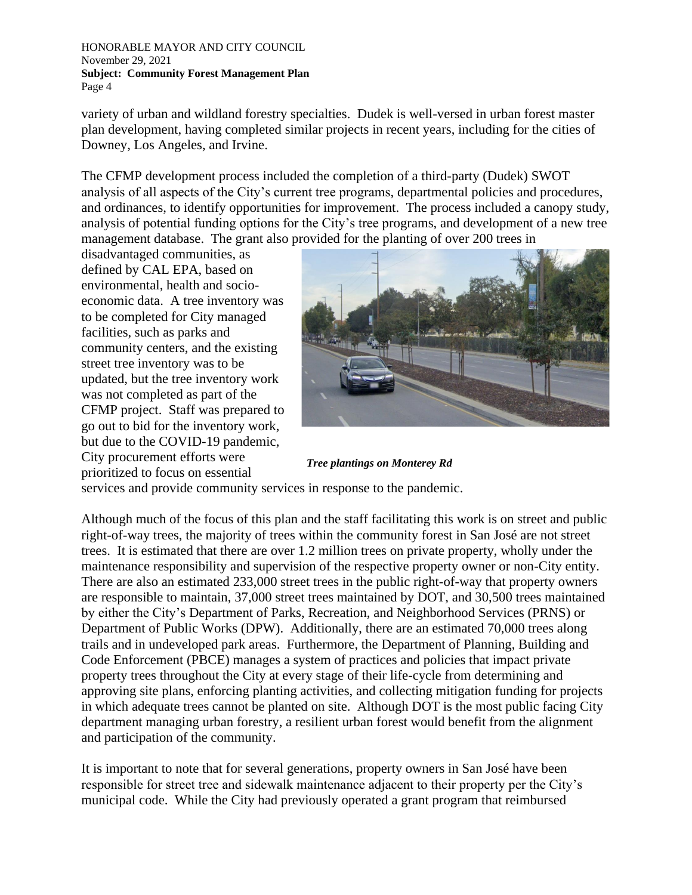variety of urban and wildland forestry specialties. Dudek is well-versed in urban forest master plan development, having completed similar projects in recent years, including for the cities of Downey, Los Angeles, and Irvine.

The CFMP development process included the completion of a third-party (Dudek) SWOT analysis of all aspects of the City's current tree programs, departmental policies and procedures, and ordinances, to identify opportunities for improvement. The process included a canopy study, analysis of potential funding options for the City's tree programs, and development of a new tree management database. The grant also provided for the planting of over 200 trees in

disadvantaged communities, as defined by CAL EPA, based on environmental, health and socioeconomic data. A tree inventory was to be completed for City managed facilities, such as parks and community centers, and the existing street tree inventory was to be updated, but the tree inventory work was not completed as part of the CFMP project. Staff was prepared to go out to bid for the inventory work, but due to the COVID-19 pandemic, City procurement efforts were prioritized to focus on essential



*Tree plantings on Monterey Rd*

services and provide community services in response to the pandemic.

Although much of the focus of this plan and the staff facilitating this work is on street and public right-of-way trees, the majority of trees within the community forest in San José are not street trees. It is estimated that there are over 1.2 million trees on private property, wholly under the maintenance responsibility and supervision of the respective property owner or non-City entity. There are also an estimated 233,000 street trees in the public right-of-way that property owners are responsible to maintain, 37,000 street trees maintained by DOT, and 30,500 trees maintained by either the City's Department of Parks, Recreation, and Neighborhood Services (PRNS) or Department of Public Works (DPW). Additionally, there are an estimated 70,000 trees along trails and in undeveloped park areas. Furthermore, the Department of Planning, Building and Code Enforcement (PBCE) manages a system of practices and policies that impact private property trees throughout the City at every stage of their life-cycle from determining and approving site plans, enforcing planting activities, and collecting mitigation funding for projects in which adequate trees cannot be planted on site. Although DOT is the most public facing City department managing urban forestry, a resilient urban forest would benefit from the alignment and participation of the community.

It is important to note that for several generations, property owners in San José have been responsible for street tree and sidewalk maintenance adjacent to their property per the City's municipal code. While the City had previously operated a grant program that reimbursed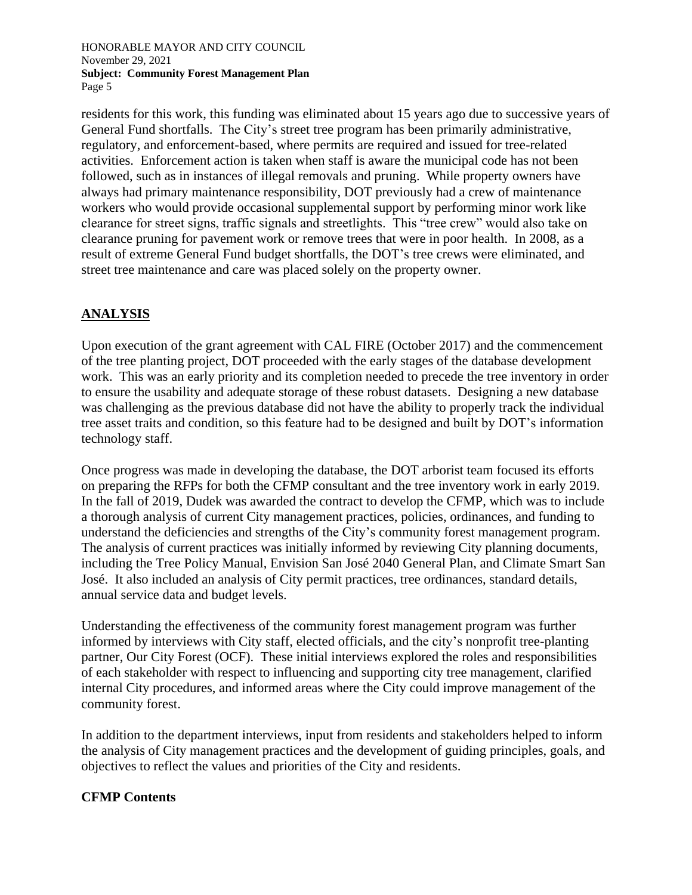residents for this work, this funding was eliminated about 15 years ago due to successive years of General Fund shortfalls. The City's street tree program has been primarily administrative, regulatory, and enforcement-based, where permits are required and issued for tree-related activities. Enforcement action is taken when staff is aware the municipal code has not been followed, such as in instances of illegal removals and pruning. While property owners have always had primary maintenance responsibility, DOT previously had a crew of maintenance workers who would provide occasional supplemental support by performing minor work like clearance for street signs, traffic signals and streetlights. This "tree crew" would also take on clearance pruning for pavement work or remove trees that were in poor health. In 2008, as a result of extreme General Fund budget shortfalls, the DOT's tree crews were eliminated, and street tree maintenance and care was placed solely on the property owner.

# **ANALYSIS**

Upon execution of the grant agreement with CAL FIRE (October 2017) and the commencement of the tree planting project, DOT proceeded with the early stages of the database development work. This was an early priority and its completion needed to precede the tree inventory in order to ensure the usability and adequate storage of these robust datasets. Designing a new database was challenging as the previous database did not have the ability to properly track the individual tree asset traits and condition, so this feature had to be designed and built by DOT's information technology staff.

Once progress was made in developing the database, the DOT arborist team focused its efforts on preparing the RFPs for both the CFMP consultant and the tree inventory work in early 2019. In the fall of 2019, Dudek was awarded the contract to develop the CFMP, which was to include a thorough analysis of current City management practices, policies, ordinances, and funding to understand the deficiencies and strengths of the City's community forest management program. The analysis of current practices was initially informed by reviewing City planning documents, including the Tree Policy Manual, Envision San José 2040 General Plan, and Climate Smart San José. It also included an analysis of City permit practices, tree ordinances, standard details, annual service data and budget levels.

Understanding the effectiveness of the community forest management program was further informed by interviews with City staff, elected officials, and the city's nonprofit tree-planting partner, Our City Forest (OCF). These initial interviews explored the roles and responsibilities of each stakeholder with respect to influencing and supporting city tree management, clarified internal City procedures, and informed areas where the City could improve management of the community forest.

In addition to the department interviews, input from residents and stakeholders helped to inform the analysis of City management practices and the development of guiding principles, goals, and objectives to reflect the values and priorities of the City and residents.

## **CFMP Contents**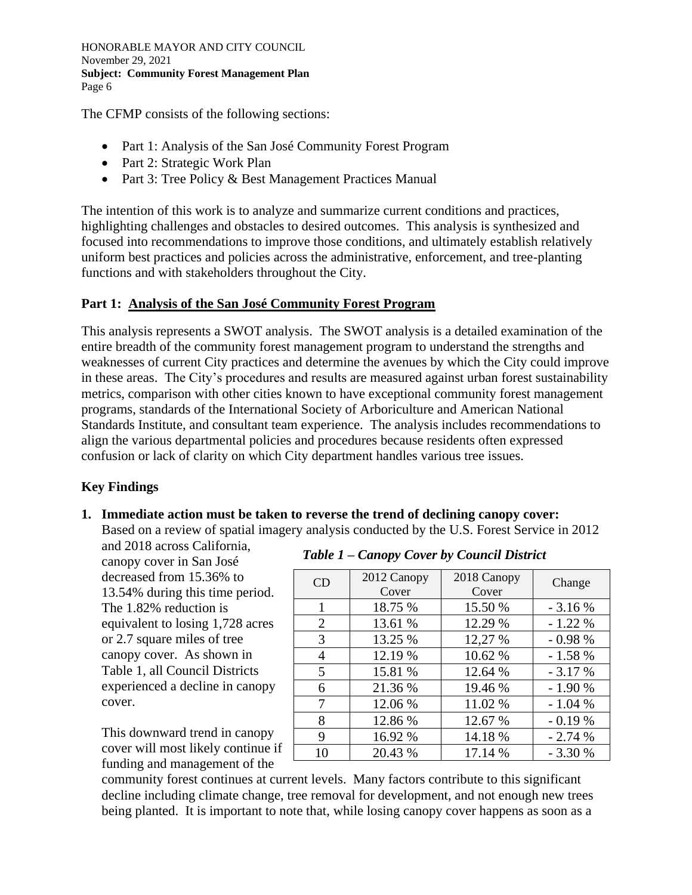The CFMP consists of the following sections:

- Part 1: Analysis of the San José Community Forest Program
- Part 2: Strategic Work Plan
- Part 3: Tree Policy & Best Management Practices Manual

The intention of this work is to analyze and summarize current conditions and practices, highlighting challenges and obstacles to desired outcomes. This analysis is synthesized and focused into recommendations to improve those conditions, and ultimately establish relatively uniform best practices and policies across the administrative, enforcement, and tree-planting functions and with stakeholders throughout the City.

## **Part 1: Analysis of the San José Community Forest Program**

This analysis represents a SWOT analysis. The SWOT analysis is a detailed examination of the entire breadth of the community forest management program to understand the strengths and weaknesses of current City practices and determine the avenues by which the City could improve in these areas. The City's procedures and results are measured against urban forest sustainability metrics, comparison with other cities known to have exceptional community forest management programs, standards of the International Society of Arboriculture and American National Standards Institute, and consultant team experience. The analysis includes recommendations to align the various departmental policies and procedures because residents often expressed confusion or lack of clarity on which City department handles various tree issues.

# **Key Findings**

#### **1. Immediate action must be taken to reverse the trend of declining canopy cover:**  Based on a review of spatial imagery analysis conducted by the U.S. Forest Service in 2012

and 2018 across California, canopy cover in San José decreased from 15.36% to 13.54% during this time period. The 1.82% reduction is equivalent to losing 1,728 acres or 2.7 square miles of tree canopy cover. As shown in Table 1, all Council Districts experienced a decline in canopy cover.

This downward trend in canopy cover will most likely continue if funding and management of the

## *Table 1 – Canopy Cover by Council District*

| CD | 2012 Canopy<br>Cover | 2018 Canopy<br>Cover | Change   |
|----|----------------------|----------------------|----------|
| 1  | 18.75 %              | 15.50 %              | $-3.16%$ |
| 2  | 13.61 %              | 12.29 %              | $-1.22%$ |
| 3  | 13.25 %              | 12,27 %              | $-0.98%$ |
| 4  | 12.19 %              | 10.62 %              | $-1.58%$ |
| 5  | 15.81 %              | 12.64 %              | $-3.17%$ |
| 6  | 21.36 %              | 19.46 %              | $-1.90%$ |
| 7  | 12.06 %              | 11.02 %              | $-1.04%$ |
| 8  | 12.86 %              | 12.67 %              | $-0.19%$ |
| 9  | 16.92 %              | 14.18 %              | $-2.74%$ |
| 10 | 20.43 %              | 17.14 %              | $-3.30%$ |

community forest continues at current levels. Many factors contribute to this significant decline including climate change, tree removal for development, and not enough new trees being planted. It is important to note that, while losing canopy cover happens as soon as a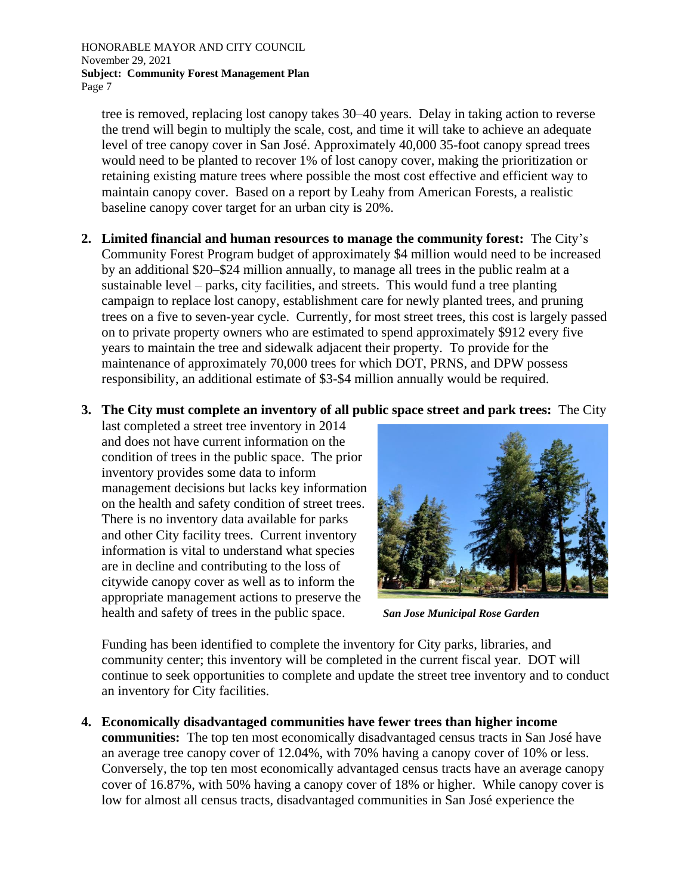tree is removed, replacing lost canopy takes 30–40 years. Delay in taking action to reverse the trend will begin to multiply the scale, cost, and time it will take to achieve an adequate level of tree canopy cover in San José. Approximately 40,000 35-foot canopy spread trees would need to be planted to recover 1% of lost canopy cover, making the prioritization or retaining existing mature trees where possible the most cost effective and efficient way to maintain canopy cover. Based on a report by Leahy from American Forests, a realistic baseline canopy cover target for an urban city is 20%.

- **2. Limited financial and human resources to manage the community forest:** The City's Community Forest Program budget of approximately \$4 million would need to be increased by an additional \$20–\$24 million annually, to manage all trees in the public realm at a sustainable level – parks, city facilities, and streets. This would fund a tree planting campaign to replace lost canopy, establishment care for newly planted trees, and pruning trees on a five to seven-year cycle. Currently, for most street trees, this cost is largely passed on to private property owners who are estimated to spend approximately \$912 every five years to maintain the tree and sidewalk adjacent their property. To provide for the maintenance of approximately 70,000 trees for which DOT, PRNS, and DPW possess responsibility, an additional estimate of \$3-\$4 million annually would be required.
- **3. The City must complete an inventory of all public space street and park trees:** The City

last completed a street tree inventory in 2014 and does not have current information on the condition of trees in the public space. The prior inventory provides some data to inform management decisions but lacks key information on the health and safety condition of street trees. There is no inventory data available for parks and other City facility trees. Current inventory information is vital to understand what species are in decline and contributing to the loss of citywide canopy cover as well as to inform the appropriate management actions to preserve the health and safety of trees in the public space.



*San Jose Municipal Rose Garden*

Funding has been identified to complete the inventory for City parks, libraries, and community center; this inventory will be completed in the current fiscal year. DOT will continue to seek opportunities to complete and update the street tree inventory and to conduct an inventory for City facilities.

**4. Economically disadvantaged communities have fewer trees than higher income** 

**communities:** The top ten most economically disadvantaged census tracts in San José have an average tree canopy cover of 12.04%, with 70% having a canopy cover of 10% or less. Conversely, the top ten most economically advantaged census tracts have an average canopy cover of 16.87%, with 50% having a canopy cover of 18% or higher. While canopy cover is low for almost all census tracts, disadvantaged communities in San José experience the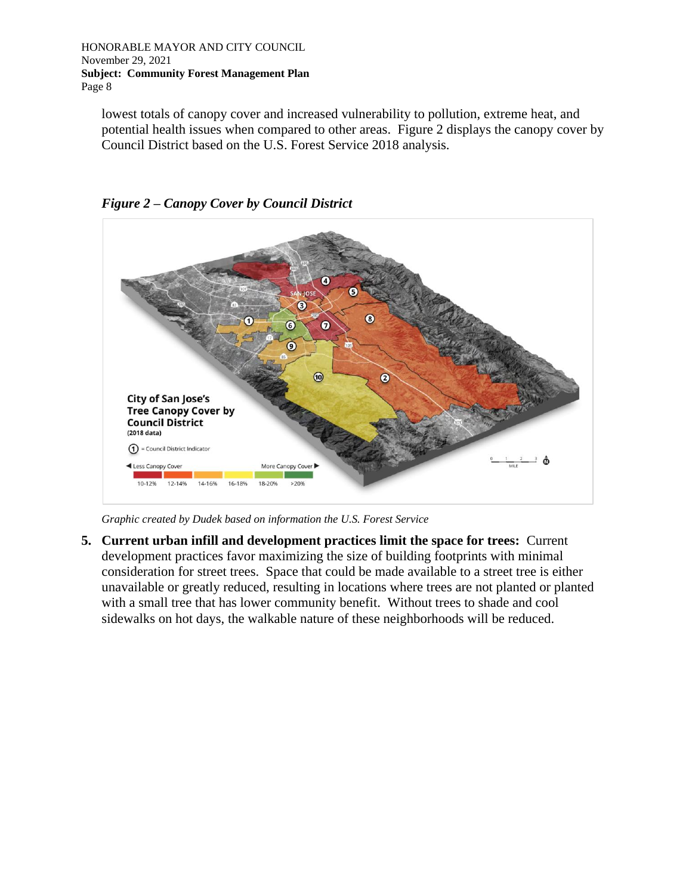lowest totals of canopy cover and increased vulnerability to pollution, extreme heat, and potential health issues when compared to other areas. Figure 2 displays the canopy cover by Council District based on the U.S. Forest Service 2018 analysis.



*Figure 2 – Canopy Cover by Council District*

*Graphic created by Dudek based on information the U.S. Forest Service*

**5. Current urban infill and development practices limit the space for trees:** Current development practices favor maximizing the size of building footprints with minimal consideration for street trees. Space that could be made available to a street tree is either unavailable or greatly reduced, resulting in locations where trees are not planted or planted with a small tree that has lower community benefit. Without trees to shade and cool sidewalks on hot days, the walkable nature of these neighborhoods will be reduced.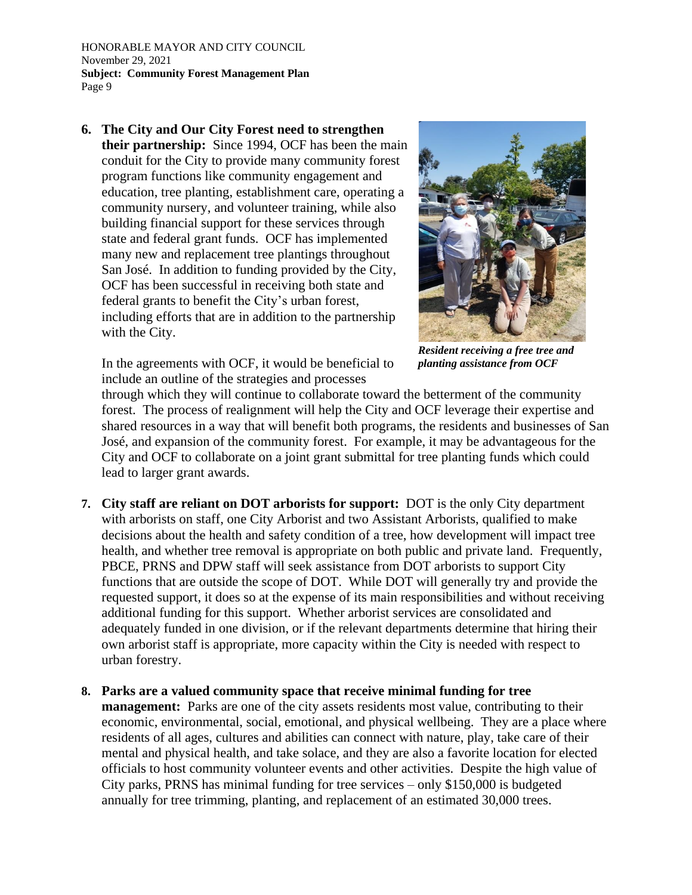**6. The City and Our City Forest need to strengthen their partnership:** Since 1994, OCF has been the main conduit for the City to provide many community forest program functions like community engagement and education, tree planting, establishment care, operating a community nursery, and volunteer training, while also building financial support for these services through state and federal grant funds. OCF has implemented many new and replacement tree plantings throughout San José. In addition to funding provided by the City, OCF has been successful in receiving both state and federal grants to benefit the City's urban forest, including efforts that are in addition to the partnership with the City.



*Resident receiving a free tree and planting assistance from OCF*

In the agreements with OCF, it would be beneficial to include an outline of the strategies and processes

through which they will continue to collaborate toward the betterment of the community forest. The process of realignment will help the City and OCF leverage their expertise and shared resources in a way that will benefit both programs, the residents and businesses of San José, and expansion of the community forest. For example, it may be advantageous for the City and OCF to collaborate on a joint grant submittal for tree planting funds which could lead to larger grant awards.

- **7. City staff are reliant on DOT arborists for support:** DOT is the only City department with arborists on staff, one City Arborist and two Assistant Arborists, qualified to make decisions about the health and safety condition of a tree, how development will impact tree health, and whether tree removal is appropriate on both public and private land. Frequently, PBCE, PRNS and DPW staff will seek assistance from DOT arborists to support City functions that are outside the scope of DOT. While DOT will generally try and provide the requested support, it does so at the expense of its main responsibilities and without receiving additional funding for this support. Whether arborist services are consolidated and adequately funded in one division, or if the relevant departments determine that hiring their own arborist staff is appropriate, more capacity within the City is needed with respect to urban forestry.
- **8. Parks are a valued community space that receive minimal funding for tree management:** Parks are one of the city assets residents most value, contributing to their economic, environmental, social, emotional, and physical wellbeing. They are a place where residents of all ages, cultures and abilities can connect with nature, play, take care of their mental and physical health, and take solace, and they are also a favorite location for elected officials to host community volunteer events and other activities. Despite the high value of City parks, PRNS has minimal funding for tree services – only \$150,000 is budgeted annually for tree trimming, planting, and replacement of an estimated 30,000 trees.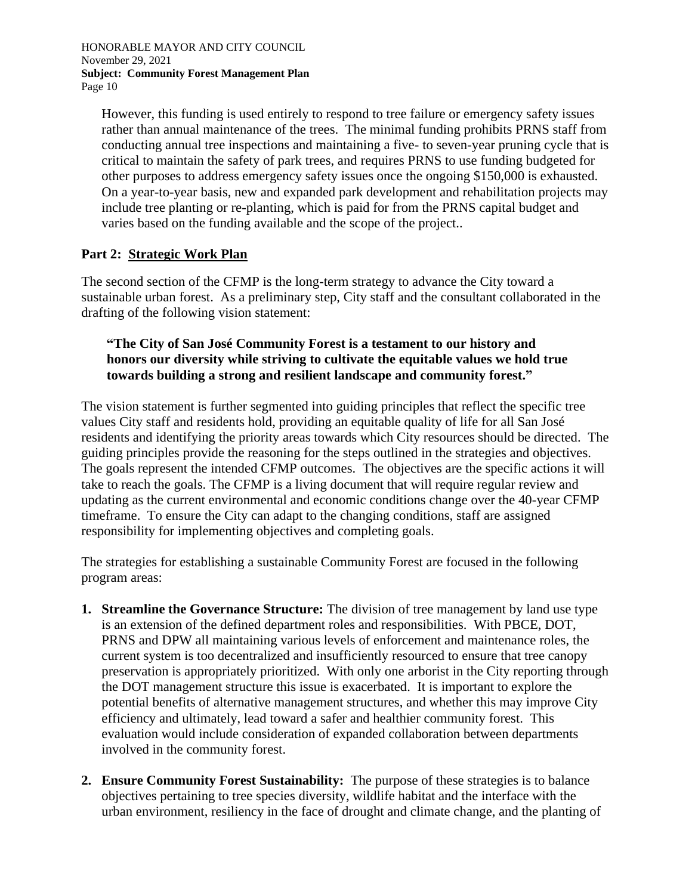However, this funding is used entirely to respond to tree failure or emergency safety issues rather than annual maintenance of the trees. The minimal funding prohibits PRNS staff from conducting annual tree inspections and maintaining a five- to seven-year pruning cycle that is critical to maintain the safety of park trees, and requires PRNS to use funding budgeted for other purposes to address emergency safety issues once the ongoing \$150,000 is exhausted. On a year-to-year basis, new and expanded park development and rehabilitation projects may include tree planting or re-planting, which is paid for from the PRNS capital budget and varies based on the funding available and the scope of the project..

## **Part 2: Strategic Work Plan**

The second section of the CFMP is the long-term strategy to advance the City toward a sustainable urban forest. As a preliminary step, City staff and the consultant collaborated in the drafting of the following vision statement:

## **"The City of San José Community Forest is a testament to our history and honors our diversity while striving to cultivate the equitable values we hold true towards building a strong and resilient landscape and community forest."**

The vision statement is further segmented into guiding principles that reflect the specific tree values City staff and residents hold, providing an equitable quality of life for all San José residents and identifying the priority areas towards which City resources should be directed. The guiding principles provide the reasoning for the steps outlined in the strategies and objectives. The goals represent the intended CFMP outcomes. The objectives are the specific actions it will take to reach the goals. The CFMP is a living document that will require regular review and updating as the current environmental and economic conditions change over the 40-year CFMP timeframe. To ensure the City can adapt to the changing conditions, staff are assigned responsibility for implementing objectives and completing goals.

The strategies for establishing a sustainable Community Forest are focused in the following program areas:

- **1. Streamline the Governance Structure:** The division of tree management by land use type is an extension of the defined department roles and responsibilities. With PBCE, DOT, PRNS and DPW all maintaining various levels of enforcement and maintenance roles, the current system is too decentralized and insufficiently resourced to ensure that tree canopy preservation is appropriately prioritized. With only one arborist in the City reporting through the DOT management structure this issue is exacerbated. It is important to explore the potential benefits of alternative management structures, and whether this may improve City efficiency and ultimately, lead toward a safer and healthier community forest. This evaluation would include consideration of expanded collaboration between departments involved in the community forest.
- **2. Ensure Community Forest Sustainability:** The purpose of these strategies is to balance objectives pertaining to tree species diversity, wildlife habitat and the interface with the urban environment, resiliency in the face of drought and climate change, and the planting of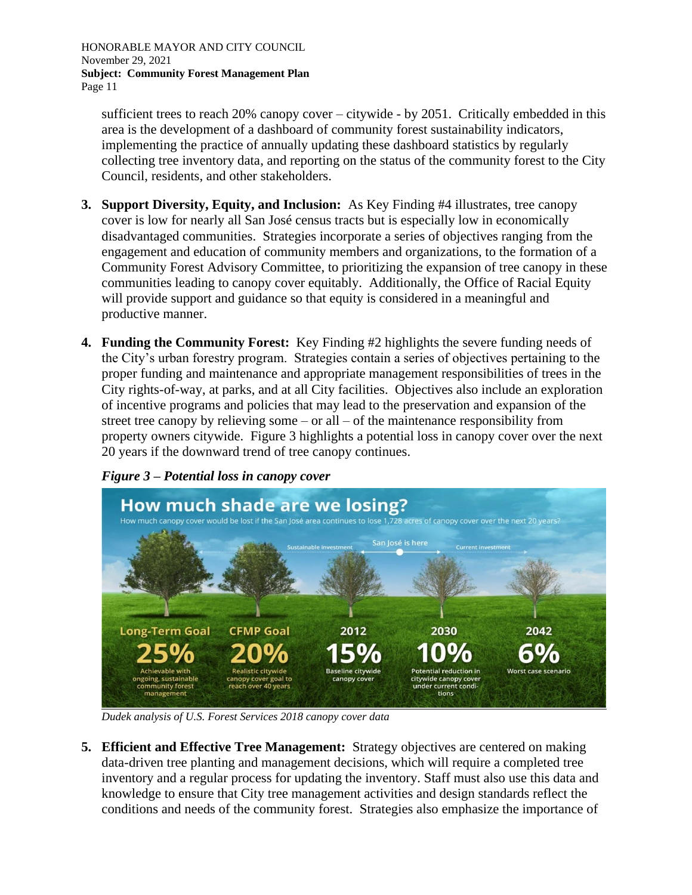sufficient trees to reach 20% canopy cover – citywide - by 2051. Critically embedded in this area is the development of a dashboard of community forest sustainability indicators, implementing the practice of annually updating these dashboard statistics by regularly collecting tree inventory data, and reporting on the status of the community forest to the City Council, residents, and other stakeholders.

- **3. Support Diversity, Equity, and Inclusion:** As Key Finding #4 illustrates, tree canopy cover is low for nearly all San José census tracts but is especially low in economically disadvantaged communities. Strategies incorporate a series of objectives ranging from the engagement and education of community members and organizations, to the formation of a Community Forest Advisory Committee, to prioritizing the expansion of tree canopy in these communities leading to canopy cover equitably. Additionally, the Office of Racial Equity will provide support and guidance so that equity is considered in a meaningful and productive manner.
- **4. Funding the Community Forest:** Key Finding #2 highlights the severe funding needs of the City's urban forestry program. Strategies contain a series of objectives pertaining to the proper funding and maintenance and appropriate management responsibilities of trees in the City rights-of-way, at parks, and at all City facilities. Objectives also include an exploration of incentive programs and policies that may lead to the preservation and expansion of the street tree canopy by relieving some – or all – of the maintenance responsibility from property owners citywide. Figure 3 highlights a potential loss in canopy cover over the next 20 years if the downward trend of tree canopy continues.



*Figure 3 – Potential loss in canopy cover*

*Dudek analysis of U.S. Forest Services 2018 canopy cover data*

**5. Efficient and Effective Tree Management:** Strategy objectives are centered on making data-driven tree planting and management decisions, which will require a completed tree inventory and a regular process for updating the inventory. Staff must also use this data and knowledge to ensure that City tree management activities and design standards reflect the conditions and needs of the community forest. Strategies also emphasize the importance of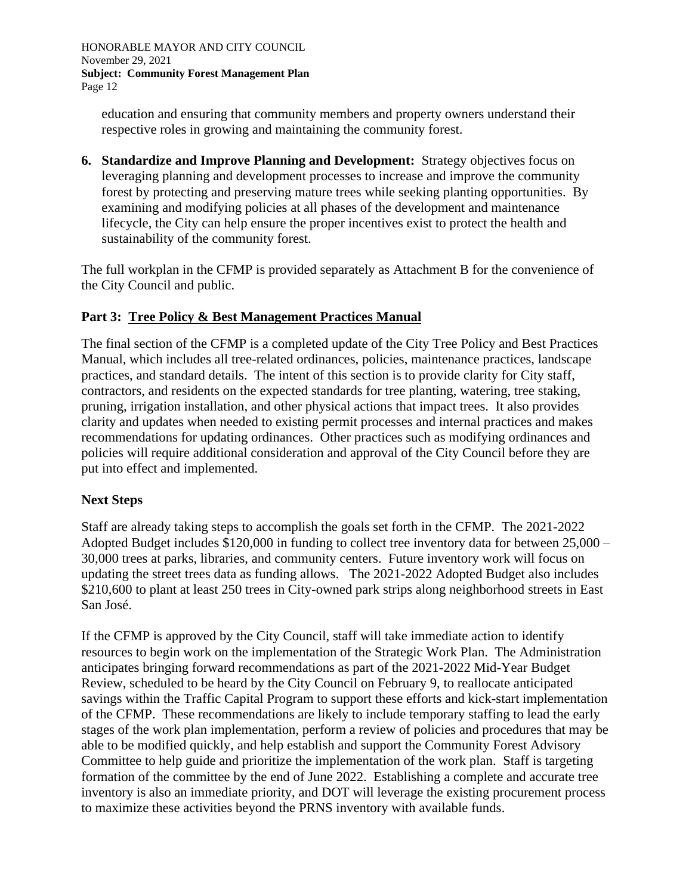education and ensuring that community members and property owners understand their respective roles in growing and maintaining the community forest.

**6. Standardize and Improve Planning and Development:** Strategy objectives focus on leveraging planning and development processes to increase and improve the community forest by protecting and preserving mature trees while seeking planting opportunities. By examining and modifying policies at all phases of the development and maintenance lifecycle, the City can help ensure the proper incentives exist to protect the health and sustainability of the community forest.

The full workplan in the CFMP is provided separately as Attachment B for the convenience of the City Council and public.

## **Part 3: Tree Policy & Best Management Practices Manual**

The final section of the CFMP is a completed update of the City Tree Policy and Best Practices Manual, which includes all tree-related ordinances, policies, maintenance practices, landscape practices, and standard details. The intent of this section is to provide clarity for City staff, contractors, and residents on the expected standards for tree planting, watering, tree staking, pruning, irrigation installation, and other physical actions that impact trees. It also provides clarity and updates when needed to existing permit processes and internal practices and makes recommendations for updating ordinances. Other practices such as modifying ordinances and policies will require additional consideration and approval of the City Council before they are put into effect and implemented.

#### **Next Steps**

Staff are already taking steps to accomplish the goals set forth in the CFMP. The 2021-2022 Adopted Budget includes \$120,000 in funding to collect tree inventory data for between 25,000 – 30,000 trees at parks, libraries, and community centers. Future inventory work will focus on updating the street trees data as funding allows. The 2021-2022 Adopted Budget also includes \$210,600 to plant at least 250 trees in City-owned park strips along neighborhood streets in East San José.

If the CFMP is approved by the City Council, staff will take immediate action to identify resources to begin work on the implementation of the Strategic Work Plan. The Administration anticipates bringing forward recommendations as part of the 2021-2022 Mid-Year Budget Review, scheduled to be heard by the City Council on February 9, to reallocate anticipated savings within the Traffic Capital Program to support these efforts and kick-start implementation of the CFMP. These recommendations are likely to include temporary staffing to lead the early stages of the work plan implementation, perform a review of policies and procedures that may be able to be modified quickly, and help establish and support the Community Forest Advisory Committee to help guide and prioritize the implementation of the work plan. Staff is targeting formation of the committee by the end of June 2022. Establishing a complete and accurate tree inventory is also an immediate priority, and DOT will leverage the existing procurement process to maximize these activities beyond the PRNS inventory with available funds.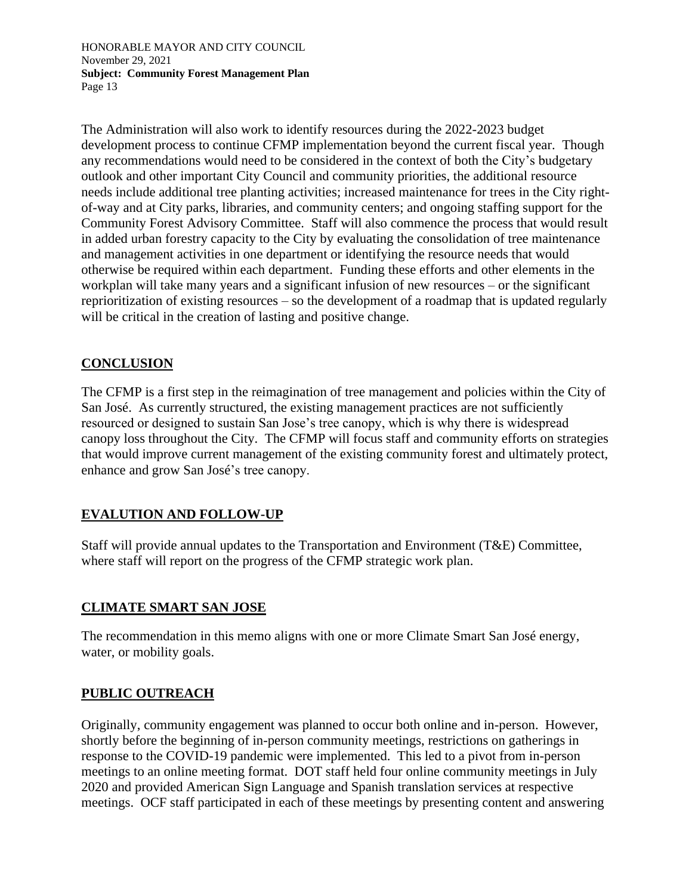The Administration will also work to identify resources during the 2022-2023 budget development process to continue CFMP implementation beyond the current fiscal year. Though any recommendations would need to be considered in the context of both the City's budgetary outlook and other important City Council and community priorities, the additional resource needs include additional tree planting activities; increased maintenance for trees in the City rightof-way and at City parks, libraries, and community centers; and ongoing staffing support for the Community Forest Advisory Committee. Staff will also commence the process that would result in added urban forestry capacity to the City by evaluating the consolidation of tree maintenance and management activities in one department or identifying the resource needs that would otherwise be required within each department. Funding these efforts and other elements in the workplan will take many years and a significant infusion of new resources – or the significant reprioritization of existing resources – so the development of a roadmap that is updated regularly will be critical in the creation of lasting and positive change.

## **CONCLUSION**

The CFMP is a first step in the reimagination of tree management and policies within the City of San José. As currently structured, the existing management practices are not sufficiently resourced or designed to sustain San Jose's tree canopy, which is why there is widespread canopy loss throughout the City. The CFMP will focus staff and community efforts on strategies that would improve current management of the existing community forest and ultimately protect, enhance and grow San José's tree canopy.

## **EVALUTION AND FOLLOW-UP**

Staff will provide annual updates to the Transportation and Environment (T&E) Committee, where staff will report on the progress of the CFMP strategic work plan.

## **CLIMATE SMART SAN JOSE**

The recommendation in this memo aligns with one or more Climate Smart San José energy, water, or mobility goals.

## **PUBLIC OUTREACH**

Originally, community engagement was planned to occur both online and in-person. However, shortly before the beginning of in-person community meetings, restrictions on gatherings in response to the COVID-19 pandemic were implemented. This led to a pivot from in-person meetings to an online meeting format. DOT staff held four online community meetings in July 2020 and provided American Sign Language and Spanish translation services at respective meetings. OCF staff participated in each of these meetings by presenting content and answering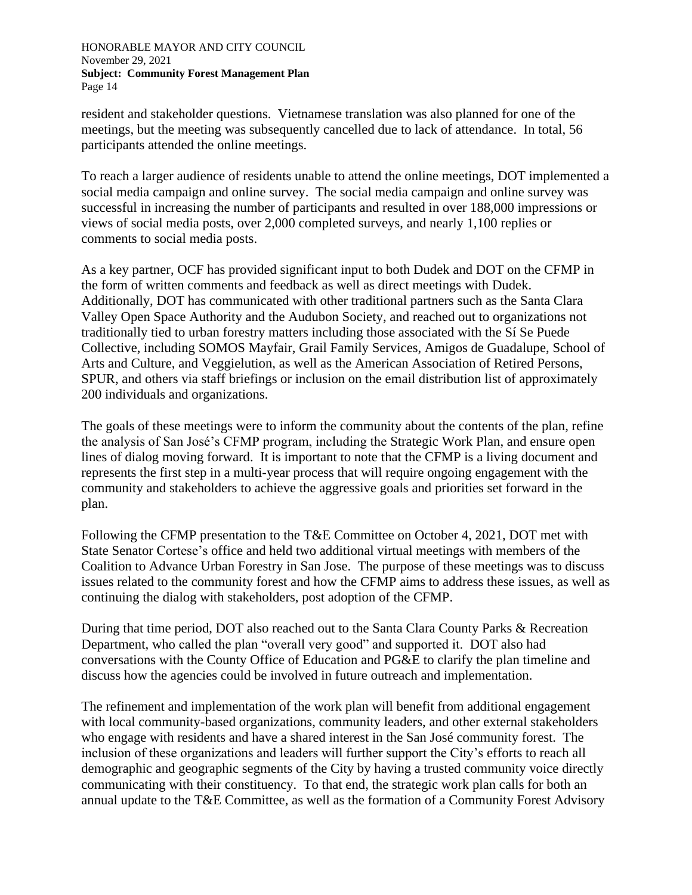resident and stakeholder questions. Vietnamese translation was also planned for one of the meetings, but the meeting was subsequently cancelled due to lack of attendance. In total, 56 participants attended the online meetings.

To reach a larger audience of residents unable to attend the online meetings, DOT implemented a social media campaign and online survey. The social media campaign and online survey was successful in increasing the number of participants and resulted in over 188,000 impressions or views of social media posts, over 2,000 completed surveys, and nearly 1,100 replies or comments to social media posts.

As a key partner, OCF has provided significant input to both Dudek and DOT on the CFMP in the form of written comments and feedback as well as direct meetings with Dudek. Additionally, DOT has communicated with other traditional partners such as the Santa Clara Valley Open Space Authority and the Audubon Society, and reached out to organizations not traditionally tied to urban forestry matters including those associated with the Sí Se Puede Collective, including SOMOS Mayfair, Grail Family Services, Amigos de Guadalupe, School of Arts and Culture, and Veggielution, as well as the American Association of Retired Persons, SPUR, and others via staff briefings or inclusion on the email distribution list of approximately 200 individuals and organizations.

The goals of these meetings were to inform the community about the contents of the plan, refine the analysis of San José's CFMP program, including the Strategic Work Plan, and ensure open lines of dialog moving forward. It is important to note that the CFMP is a living document and represents the first step in a multi-year process that will require ongoing engagement with the community and stakeholders to achieve the aggressive goals and priorities set forward in the plan.

Following the CFMP presentation to the T&E Committee on October 4, 2021, DOT met with State Senator Cortese's office and held two additional virtual meetings with members of the Coalition to Advance Urban Forestry in San Jose. The purpose of these meetings was to discuss issues related to the community forest and how the CFMP aims to address these issues, as well as continuing the dialog with stakeholders, post adoption of the CFMP.

During that time period, DOT also reached out to the Santa Clara County Parks & Recreation Department, who called the plan "overall very good" and supported it. DOT also had conversations with the County Office of Education and PG&E to clarify the plan timeline and discuss how the agencies could be involved in future outreach and implementation.

The refinement and implementation of the work plan will benefit from additional engagement with local community-based organizations, community leaders, and other external stakeholders who engage with residents and have a shared interest in the San José community forest. The inclusion of these organizations and leaders will further support the City's efforts to reach all demographic and geographic segments of the City by having a trusted community voice directly communicating with their constituency. To that end, the strategic work plan calls for both an annual update to the T&E Committee, as well as the formation of a Community Forest Advisory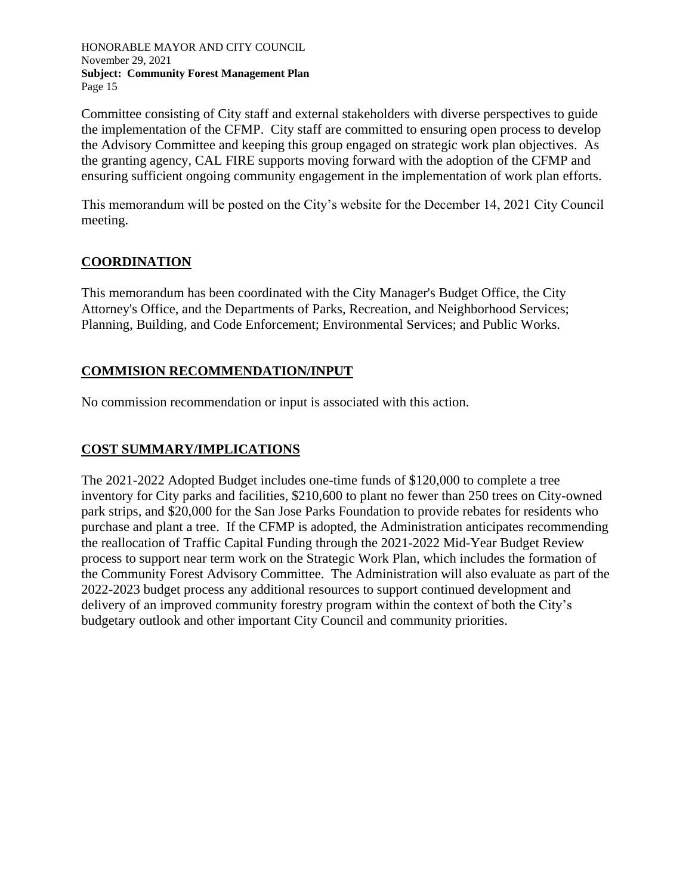Committee consisting of City staff and external stakeholders with diverse perspectives to guide the implementation of the CFMP. City staff are committed to ensuring open process to develop the Advisory Committee and keeping this group engaged on strategic work plan objectives. As the granting agency, CAL FIRE supports moving forward with the adoption of the CFMP and ensuring sufficient ongoing community engagement in the implementation of work plan efforts.

This memorandum will be posted on the City's website for the December 14, 2021 City Council meeting.

## **COORDINATION**

This memorandum has been coordinated with the City Manager's Budget Office, the City Attorney's Office, and the Departments of Parks, Recreation, and Neighborhood Services; Planning, Building, and Code Enforcement; Environmental Services; and Public Works.

## **COMMISION RECOMMENDATION/INPUT**

No commission recommendation or input is associated with this action.

# **COST SUMMARY/IMPLICATIONS**

The 2021-2022 Adopted Budget includes one-time funds of \$120,000 to complete a tree inventory for City parks and facilities, \$210,600 to plant no fewer than 250 trees on City-owned park strips, and \$20,000 for the San Jose Parks Foundation to provide rebates for residents who purchase and plant a tree. If the CFMP is adopted, the Administration anticipates recommending the reallocation of Traffic Capital Funding through the 2021-2022 Mid-Year Budget Review process to support near term work on the Strategic Work Plan, which includes the formation of the Community Forest Advisory Committee. The Administration will also evaluate as part of the 2022-2023 budget process any additional resources to support continued development and delivery of an improved community forestry program within the context of both the City's budgetary outlook and other important City Council and community priorities.